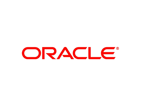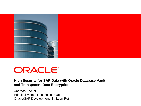

# ORACLE®

#### **High Security for SAP Data with Oracle Database Vault and Transparent Data Encryption**

Andreas Becker Principal Member Technical Staff Oracle/SAP Development, St. Leon-Rot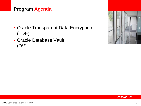#### **Program Agenda**

- Oracle Transparent Data Encryption (TDE)
- Oracle Database Vault (DV)



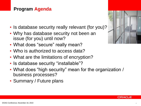#### **Program Agenda**

- Is database security really relevant (for you)?
- Why has database security not been an issue (for you) until now?
- What does "secure" really mean?
- Who is authorized to access data?
- What are the limitations of encryption?
- Is database security "installable"?
- What does "high security" mean for the organization / business processes?
- Summary / Future plans



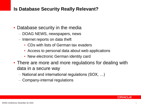#### **Is Database Security Really Relevant?**

- Database security in the media
	- DOAG NEWS, newspapers, news
	- Internet reports on data theft
		- CDs with lists of German tax evaders
		- Access to personal data about web applications
		- New electronic German identity card
- There are more and more regulations for dealing with data in a secure way
	- National and international regulations (SOX, …)
	- Company-internal regulations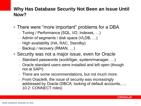#### **Why Has Database Security Not Been an Issue Until Now?**

- There were "more important" problems for a DBA
	- Tuning / Performance (SQL, I/O, Indexes, …)
	- Admin of segments / disk space (VLDB, …)
	- High availability (HA, RAC, Standby)
	- Backup / recovery (RMAN, …)
- Security was not a major issue, even for Oracle
	- Standard passwords (scott/tiger, system/manager, …)
	- Oracle standard users were installed and left open (though not at SAP!)
	- There are some recommendations, but not much more.
	- From Oracle9i, the issue of security was increasingly addressed by Oracle (DBCA: locking of default accounts,…, 10.2: CONNECT roles)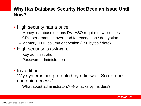#### **Why Has Database Security Not Been an Issue Until Now?**

- High security has a price
	- Money: database options DV, ASO require new licenses
	- CPU performance: overhead for encryption / decryption
	- Memory: TDE column encryption (~50 bytes / date)
- High security is awkward
	- Key administration
	- Password administration
	- …
- In addition:

"My systems are protected by a firewall. So no-one can gain access."

– What about administrators?  $\rightarrow$  attacks by insiders?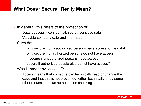#### **What Does "Secure" Really Mean?**

- In general, this refers to the protection of:
	- Data, especially confidential, secret, sensitive data
	- Valuable company data and information
- Such data is …
	- … only secure if only authorized persons have access to the data!
	- … only secure if unauthorized persons do not have access!
	- … insecure if unauthorized persons have access!
	- … secure if authorized people also do not have access?
- Was is meant by "access"?
	- Access means that someone can technically read or change the data, and that this is not prevented, either technically or by some other means, such as authorization checking.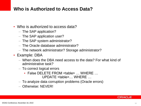#### **Who is Authorized to Access Data?**

- Who is authorized to access data?
	- The SAP application?
	- The SAP application user?
	- The SAP system administrator?
	- The Oracle database administrator?
	- The network administrator? Storage administrator?
- Example: DBA
	- When does the DBA need access to the data? For what kind of administrative task?
	- To correct logical errors
		- False DELETE FROM <table> … WHERE … UPDATE <table>… WHERE …
	- To analyze data corruption problems (Oracle errors)
	- Otherwise: NEVER!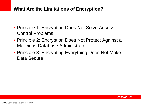#### **What Are the Limitations of Encryption?**

- Principle 1: Encryption Does Not Solve Access Control Problems
- Principle 2: Encryption Does Not Protect Against a Malicious Database Administrator
- Principle 3: Encrypting Everything Does Not Make Data Secure

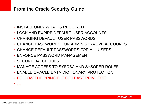#### **From the Oracle Security Guide**

- INSTALL ONLY WHAT IS REQUIRED
- LOCK AND EXPIRE DEFAULT USER ACCOUNTS
- CHANGING DEFAULT USER PASSWORDS
- CHANGE PASSWORDS FOR ADMINISTRATIVE ACCOUNTS
- CHANGE DEFAULT PASSWORDS FOR ALL USERS
- ENFORCE PASSWORD MANAGEMENT
- SECURE BATCH JOBS
- MANAGE ACCESS TO SYSDBA AND SYSOPER ROLES
- ENABLE ORACLE DATA DICTIONARY PROTECTION
- FOLLOW THE PRINCIPLE OF LEAST PRIVILEGE

• …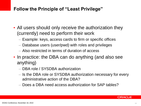#### **Follow the Principle of "Least Privilege"**

- All users should only receive the authorization they (currently) need to perform their work
	- Example: keys, access cards to firm or specific offices
	- Database users (user/pwd) with roles and privileges
	- Also restricted in terms of duration of access
- In practice: the DBA can do anything (and also see anything)
	- DBA role / SYSDBA authorization
	- Is the DBA role or SYSDBA authorization necessary for every administrative action of the DBA?
	- Does a DBA need access authorization for SAP tables?

ORACI E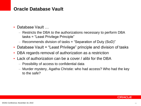#### **Oracle Database Vault**

- Database Vault …
	- Restricts the DBA to the authorizations necessary to perform DBA tasks = "Least Privilege Principle"
	- Recommends division of tasks = "Separation of Duty (SoD)"
- Database Vault = "Least Privilege" principle and division of tasks
- DBA regards removal of authorization as a restriction
- Lack of authorization can be a cover / alibi for the DBA
	- Possibility of access to confidential data
	- Murder mystery, Agatha Christie: who had access? Who had the key to the safe?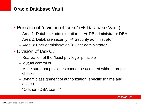#### **Oracle Database Vault**

- Principle of "division of tasks"  $($   $\rightarrow$  Database Vault)
	- Area 1: Database administration  $\rightarrow$  DB administrator DBA
	- Area 2: Database security  $\rightarrow$  Security administrator
	- Area 3: User administration  $\rightarrow$  User administrator
- Division of tasks…
	- Realization of the "least privilege" principle
	- Mutual control or:
	- Make sure that privileges cannot be acquired without proper checks
	- Dynamic assignment of authorization (specific to time and object)
	- "Offshore DBA teams"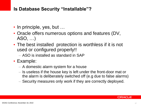#### **Is Database Security "Installable"?**

- In principle, yes, but ...
- Oracle offers numerous options and features (DV, ASO, …)
- The best installed protection is worthless if it is not used or configured properly!!
	- ASO is installed as standard in SAP
- Example:
	- A domestic alarm system for a house
	- Is useless if the house key is left under the front-door mat or the alarm is deliberately switched off (e.g due to false alarms)
	- Security measures only work if they are correctly deployed.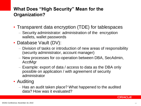### **What Does "High Security" Mean for the Organization?**

- Transparent data encryption (TDE) for tablespaces
	- Security administrator: administration of the encryption wallets, wallet passwords
- Database Vault (DV):
	- Division of tasks or introduction of new areas of responsibility (security administrator, account manager)
	- New processes for co-operation between DBA, SecAdmin, AcctMgr
	- Example: export of data / access to data as the DBA only possible on application / with agreement of security administrator
- Auditing
	- Has an audit taken place? What happened to the audited data? How was it evaluated?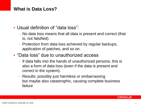#### **What is Data Loss?**

- Usual definition of "data loss":
	- No data loss means that all data is present and correct (that is, not falsified).
	- Protection from data loss achieved by regular backups, application of patches, and so on.
- "Data loss" due to unauthorized access
	- If data falls into the hands of unauthorized persons, this is also a form of data loss (even if the data is present and correct in the system).
	- Results: possibly just harmless or embarrassing but maybe also catastrophic, causing complete business failure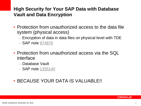#### **High Security for Your SAP Data with Database Vault and Data Encryption**

- Protection from unauthorized access to the data file system (physical access)
	- Encryption of data in data files on physical level with TDE
	- SAP note [974876](http://service.sap.com/sap/support/notes/974876)
- Protection from unauthorized access via the SQL interface
	- Database Vault
	- SAP note [1355140](http://service.sap.com/sap/support/notes/1355140)
- BECAUSE YOUR DATA IS VALUABLE!!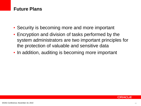#### **Future Plans**

- Security is becoming more and more important
- Encryption and division of tasks performed by the system administrators are two important principles for the protection of valuable and sensitive data
- In addition, auditing is becoming more important

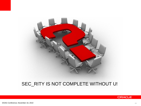

#### SEC\_RITY IS NOT COMPLETE WITHOUT U!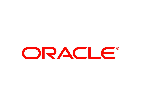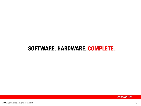## SOFTWARE. HARDWARE. COMPLETE.

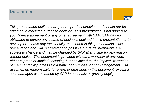#### Disclaimer



*This presentation outlines our general product direction and should not be relied on in making a purchase decision. This presentation is not subject to your license agreement or any other agreement with SAP. SAP has no obligation to pursue any course of business outlined in this presentation or to develop or release any functionality mentioned in this presentation. This presentation and SAP's strategy and possible future developments are subject to change and may be changed by SAP at any time for any reason without notice. This document is provided without a warranty of any kind, either express or implied, including but not limited to, the implied warranties of merchantability, fitness for a particular purpose, or non-infringement. SAP assumes no responsibility for errors or omissions in this document, except if such damages were caused by SAP intentionally or grossly negligent.*